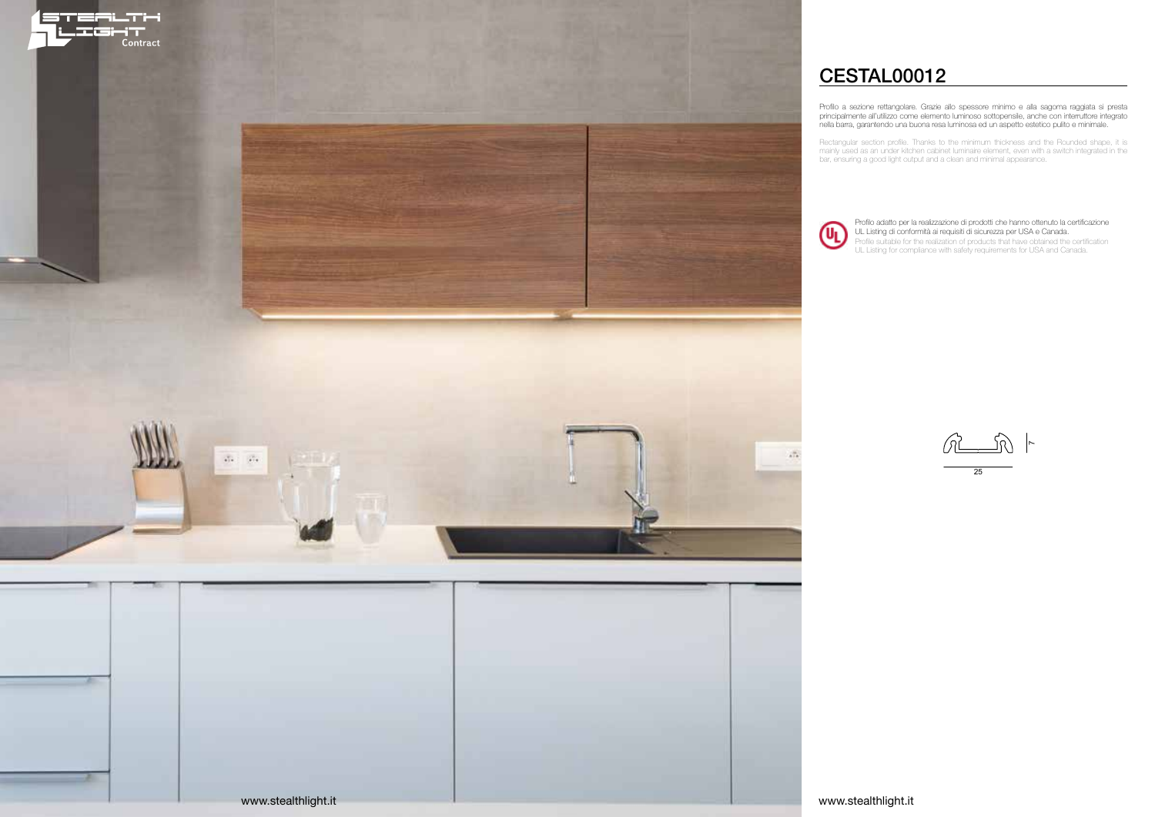Profilo a sezione rettangolare. Grazie allo spessore minimo e alla sagoma raggiata si presta principalmente all'utilizzo come elemento luminoso sottopensile, anche con interruttore integrato nella barra, garantendo una buona resa luminosa ed un aspetto estetico pulito e minimale.

25  $\sim$ 

Rectangular section profile. Thanks to the minimum thickness and the Rounded shape, it is mainly used as an under kitchen cabinet luminaire element, even with a switch integrated in the bar, ensuring a good light output and a clean and minimal appearance.

# CESTAL00012

Profilo adatto per la realizzazione di prodotti che hanno ottenuto la certificazione UL Listing di conformità ai requisiti di sicurezza per USA e Canada. Profile suitable for the realization of products that have obtained the certification UL Listing for compliance with safety requirements for USA and Canada.

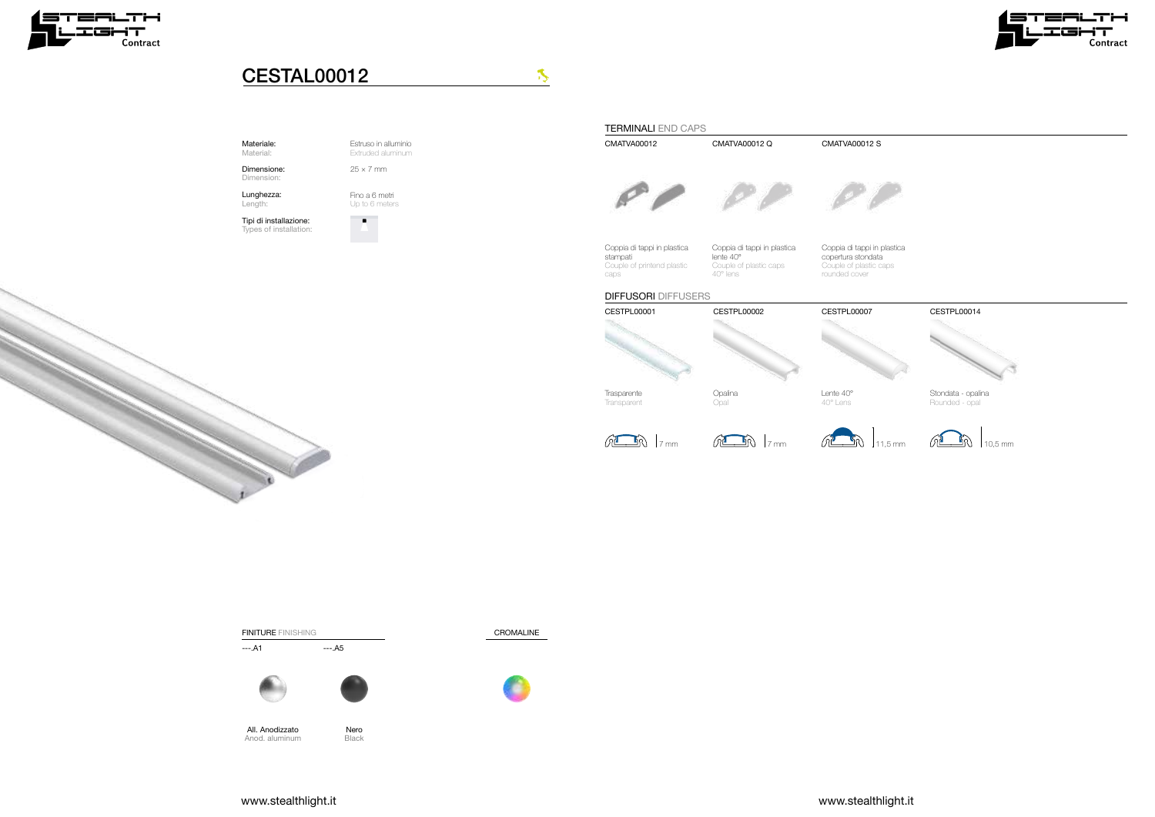Estruso in alluminio Extruded aluminum

Fino a 6 metri Up to 6 meters

 $\bullet$ 

 $25 \times 7$  mm

### FINITURE FINISHING

 $---.A1$   $---.A5$ 





#### Materiale: Material:

Dimensione: Dimension:

Nero **Black** 

Lunghezza: Length:

Tipi di installazione: Types of installation:











## CESTAL00012

All. Anodizzato Anod. aluminum



Stondata - opalina Rounded - opal